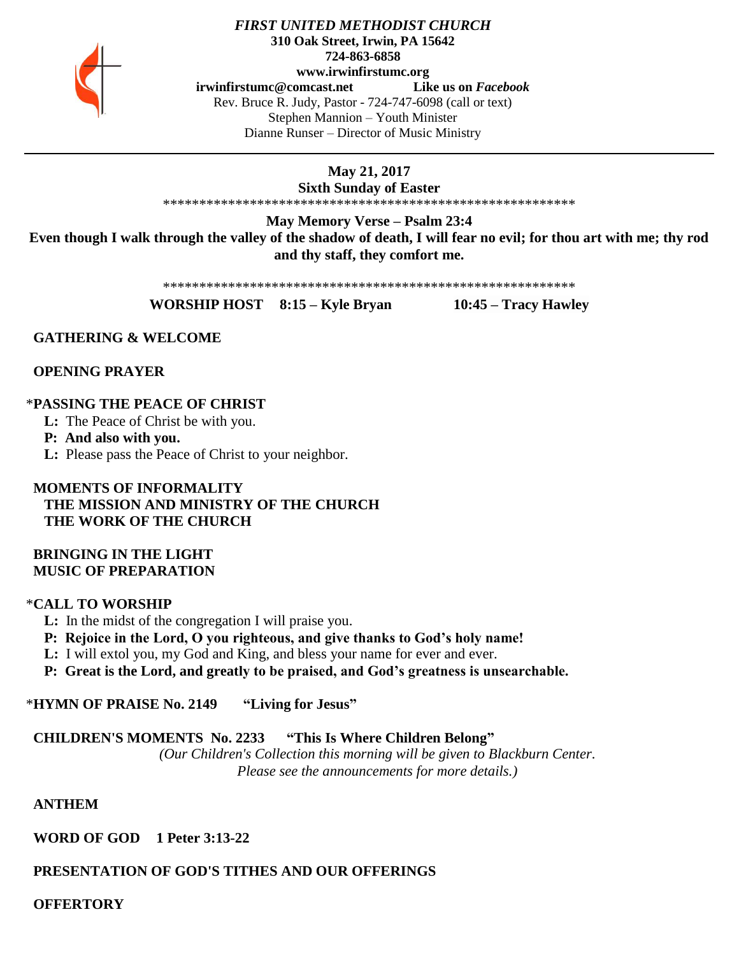

#### *FIRST UNITED METHODIST CHURCH* **310 Oak Street, Irwin, PA 15642 724-863-6858 www.irwinfirstumc.org [irwinfirstumc@comcast.net](mailto:irwinfirstumc@comcast.net) Like us on** *Facebook* Rev. Bruce R. Judy, Pastor - 724-747-6098 (call or text) Stephen Mannion – Youth Minister Dianne Runser – Director of Music Ministry

# **May 21, 2017**

**Sixth Sunday of Easter** \*\*\*\*\*\*\*\*\*\*\*\*\*\*\*\*\*\*\*\*\*\*\*\*\*\*\*\*\*\*\*\*\*\*\*\*\*\*\*\*\*\*\*\*\*\*\*\*\*\*\*\*\*\*\*\*\*

**May Memory Verse – Psalm 23:4 Even though I walk through the valley of the shadow of death, I will fear no evil; for thou art with me; thy rod and thy staff, they comfort me.**

\*\*\*\*\*\*\*\*\*\*\*\*\*\*\*\*\*\*\*\*\*\*\*\*\*\*\*\*\*\*\*\*\*\*\*\*\*\*\*\*\*\*\*\*\*\*\*\*\*\*\*\*\*\*\*\*\*

**WORSHIP HOST 8:15 – Kyle Bryan 10:45 – Tracy Hawley**

 **GATHERING & WELCOME**

 **OPENING PRAYER**

# \***PASSING THE PEACE OF CHRIST**

**L:** The Peace of Christ be with you.

**P: And also with you.**

**L:** Please pass the Peace of Christ to your neighbor.

 **MOMENTS OF INFORMALITY THE MISSION AND MINISTRY OF THE CHURCH THE WORK OF THE CHURCH**

## **BRINGING IN THE LIGHT MUSIC OF PREPARATION**

# \***CALL TO WORSHIP**

 **L:** In the midst of the congregation I will praise you.

 **P: Rejoice in the Lord, O you righteous, and give thanks to God's holy name!**

 **L:** I will extol you, my God and King, and bless your name for ever and ever.

 **P: Great is the Lord, and greatly to be praised, and God's greatness is unsearchable.**

\***HYMN OF PRAISE No. 2149 "Living for Jesus"**

# **CHILDREN'S MOMENTS No. 2233 "This Is Where Children Belong"**

*(Our Children's Collection this morning will be given to Blackburn Center. Please see the announcements for more details.)*

 **ANTHEM** 

 **WORD OF GOD 1 Peter 3:13-22**

# **PRESENTATION OF GOD'S TITHES AND OUR OFFERINGS**

 **OFFERTORY**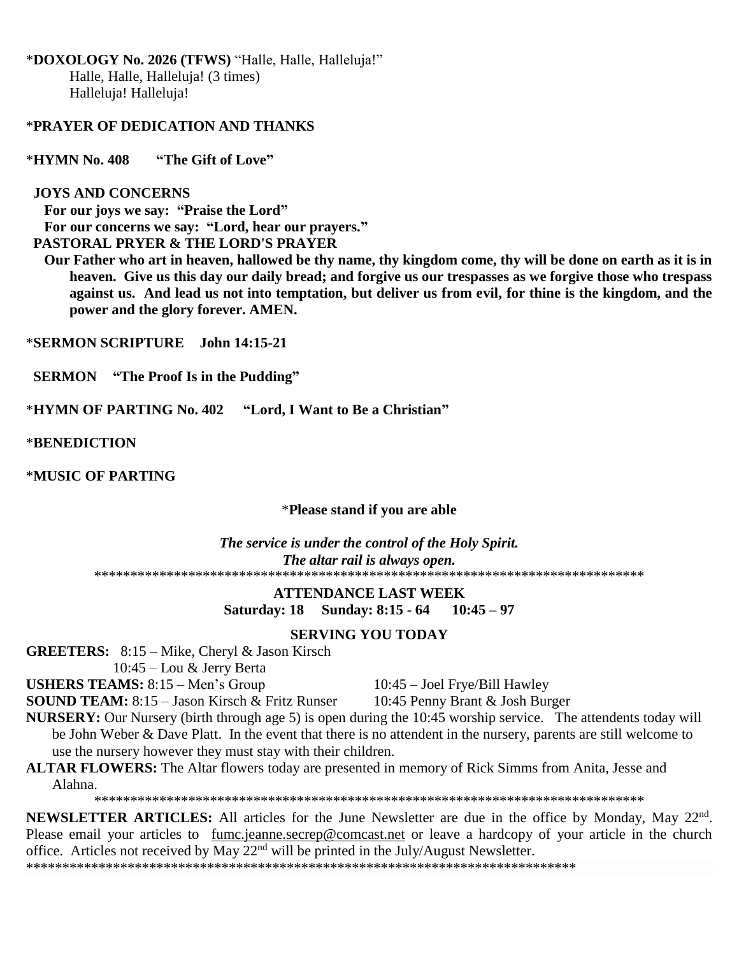\***DOXOLOGY No. 2026 (TFWS)** "Halle, Halle, Halleluja!" Halle, Halle, Halleluja! (3 times) Halleluja! Halleluja!

#### \***PRAYER OF DEDICATION AND THANKS**

\***HYMN No. 408 "The Gift of Love"**

#### **JOYS AND CONCERNS**

 **For our joys we say: "Praise the Lord" For our concerns we say: "Lord, hear our prayers." PASTORAL PRYER & THE LORD'S PRAYER**

 **Our Father who art in heaven, hallowed be thy name, thy kingdom come, thy will be done on earth as it is in heaven. Give us this day our daily bread; and forgive us our trespasses as we forgive those who trespass against us. And lead us not into temptation, but deliver us from evil, for thine is the kingdom, and the power and the glory forever. AMEN.**

\***SERMON SCRIPTURE John 14:15-21**

 **SERMON "The Proof Is in the Pudding"**

\***HYMN OF PARTING No. 402 "Lord, I Want to Be a Christian"**

\***BENEDICTION**

\***MUSIC OF PARTING** 

#### \***Please stand if you are able**

*The service is under the control of the Holy Spirit. The altar rail is always open.* \*\*\*\*\*\*\*\*\*\*\*\*\*\*\*\*\*\*\*\*\*\*\*\*\*\*\*\*\*\*\*\*\*\*\*\*\*\*\*\*\*\*\*\*\*\*\*\*\*\*\*\*\*\*\*\*\*\*\*\*\*\*\*\*\*\*\*\*\*\*\*\*\*\*\*\*

#### **ATTENDANCE LAST WEEK**

**Saturday: 18 Sunday: 8:15 - 64 10:45 – 97**

#### **SERVING YOU TODAY**

**GREETERS:** 8:15 – Mike, Cheryl & Jason Kirsch

10:45 – Lou & Jerry Berta

**USHERS TEAMS:** 8:15 – Men's Group 10:45 – Joel Frye/Bill Hawley

**SOUND TEAM:** 8:15 – Jason Kirsch & Fritz Runser 10:45 Penny Brant & Josh Burger

**NURSERY:** Our Nursery (birth through age 5) is open during the 10:45 worship service. The attendents today will be John Weber & Dave Platt. In the event that there is no attendent in the nursery, parents are still welcome to use the nursery however they must stay with their children.

#### **ALTAR FLOWERS:** The Altar flowers today are presented in memory of Rick Simms from Anita, Jesse and Alahna.

\*\*\*\*\*\*\*\*\*\*\*\*\*\*\*\*\*\*\*\*\*\*\*\*\*\*\*\*\*\*\*\*\*\*\*\*\*\*\*\*\*\*\*\*\*\*\*\*\*\*\*\*\*\*\*\*\*\*\*\*\*\*\*\*\*\*\*\*\*\*\*\*\*\*\*\*

**NEWSLETTER ARTICLES:** All articles for the June Newsletter are due in the office by Monday, May 22nd . Please email your articles to [fumc.jeanne.secrep@comcast.net](mailto:fumc.jeanne.secrep@comcast.net) or leave a hardcopy of your article in the church office. Articles not received by May  $22<sup>nd</sup>$  will be printed in the July/August Newsletter.

\*\*\*\*\*\*\*\*\*\*\*\*\*\*\*\*\*\*\*\*\*\*\*\*\*\*\*\*\*\*\*\*\*\*\*\*\*\*\*\*\*\*\*\*\*\*\*\*\*\*\*\*\*\*\*\*\*\*\*\*\*\*\*\*\*\*\*\*\*\*\*\*\*\*\*\*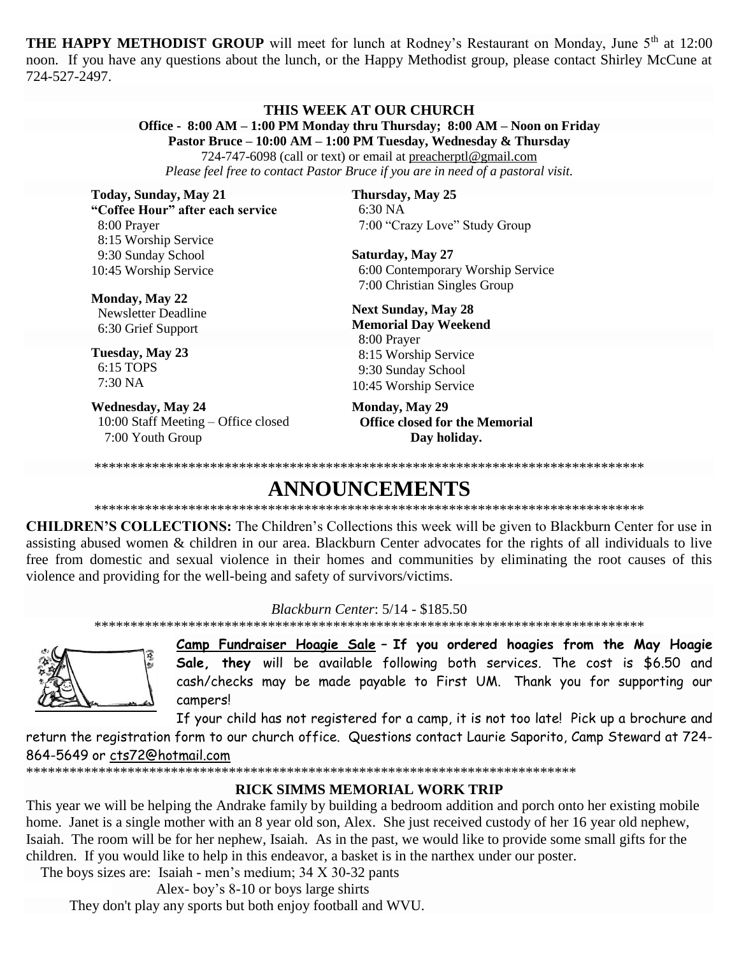**THE HAPPY METHODIST GROUP** will meet for lunch at Rodney's Restaurant on Monday, June 5<sup>th</sup> at 12:00 noon. If you have any questions about the lunch, or the Happy Methodist group, please contact Shirley McCune at 724-527-2497.

#### THIS WEEK AT OUR CHURCH Office - 8:00 AM - 1:00 PM Monday thru Thursday; 8:00 AM - Noon on Friday

Pastor Bruce – 10:00 AM – 1:00 PM Tuesday, Wednesday & Thursday

724-747-6098 (call or text) or email at preacherptl@gmail.com

Please feel free to contact Pastor Bruce if you are in need of a pastoral visit.

Today, Sunday, May 21 "Coffee Hour" after each service 8:00 Prayer 8:15 Worship Service 9:30 Sunday School 10:45 Worship Service

Monday, May 22 Newsletter Deadline 6:30 Grief Support

Tuesday, May 23 6:15 TOPS  $7:30\,NA$ 

**Wednesday, May 24** 10:00 Staff Meeting - Office closed 7:00 Youth Group

Thursday, May 25  $6:30\text{ NA}$ 7:00 "Crazy Love" Study Group

Saturday, May 27 6:00 Contemporary Worship Service 7:00 Christian Singles Group

**Next Sunday, May 28 Memorial Day Weekend** 8:00 Prayer 8:15 Worship Service 9:30 Sunday School 10:45 Worship Service

**Monday, May 29 Office closed for the Memorial** Day holiday.

# ANNOUNCEMENTS

**CHILDREN'S COLLECTIONS:** The Children's Collections this week will be given to Blackburn Center for use in assisting abused women & children in our area. Blackburn Center advocates for the rights of all individuals to live free from domestic and sexual violence in their homes and communities by eliminating the root causes of this violence and providing for the well-being and safety of survivors/victims.

Blackburn Center: 5/14 - \$185.50



Camp Fundraiser Hoagie Sale - If you ordered hoagies from the May Hoagie Sale, they will be available following both services. The cost is \$6.50 and cash/checks may be made payable to First UM. Thank you for supporting our campers!

If your child has not registered for a camp, it is not too late! Pick up a brochure and

return the registration form to our church office. Questions contact Laurie Saporito, Camp Steward at 724-864-5649 or cts72@hotmail.com

# **RICK SIMMS MEMORIAL WORK TRIP**

This year we will be helping the Andrake family by building a bedroom addition and porch onto her existing mobile home. Janet is a single mother with an 8 year old son, Alex. She just received custody of her 16 year old nephew, Isaiah. The room will be for her nephew, Isaiah. As in the past, we would like to provide some small gifts for the children. If you would like to help in this endeavor, a basket is in the narthex under our poster.

The boys sizes are: Isaiah - men's medium; 34 X 30-32 pants

Alex-boy's 8-10 or boys large shirts

They don't play any sports but both enjoy football and WVU.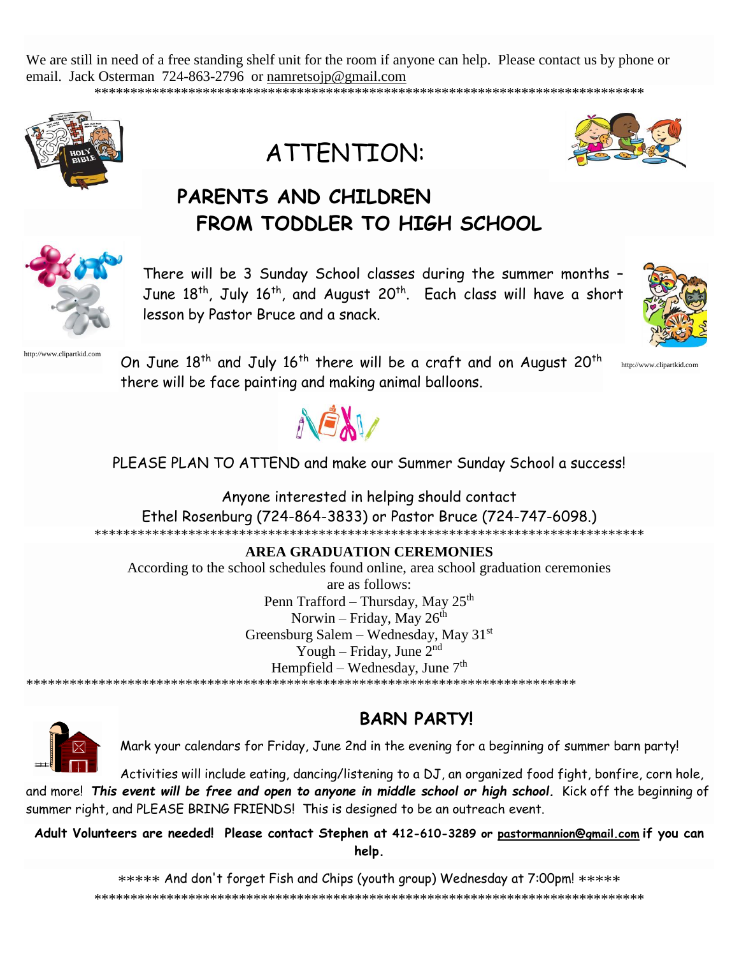We are still in need of a free standing shelf unit for the room if anyone can help. Please contact us by phone or email. Jack Osterman 724-863-2796 or namretsoip@gmail.com







http://www.clipartkid.com

# PARENTS AND CHILDREN FROM TODDLER TO HIGH SCHOOL



There will be 3 Sunday School classes during the summer months -June 18<sup>th</sup>, July 16<sup>th</sup>, and August 20<sup>th</sup>. Each class will have a short lesson by Pastor Bruce and a snack.



On June 18<sup>th</sup> and July 16<sup>th</sup> there will be a craft and on August 20<sup>th</sup> there will be face painting and making animal balloons.



PLEASE PLAN TO ATTEND and make our Summer Sunday School a success!

Anyone interested in helping should contact

Ethel Rosenburg (724-864-3833) or Pastor Bruce (724-747-6098.)

### **AREA GRADUATION CEREMONIES**

According to the school schedules found online, area school graduation ceremonies

are as follows: Penn Trafford – Thursday, May 25<sup>th</sup> Norwin - Friday, May 26th Greensburg Salem – Wednesday, May  $31<sup>st</sup>$ Yough – Friday, June  $2<sup>nd</sup>$ Hempfield - Wednesday, June 7<sup>th</sup>



**BARN PARTYI** 

Mark your calendars for Friday, June 2nd in the evening for a beginning of summer barn party!

Activities will include eating, dancing/listening to a DJ, an organized food fight, bonfire, corn hole, and more! This event will be free and open to anyone in middle school or high school. Kick off the beginning of summer right, and PLEASE BRING FRIENDS! This is designed to be an outreach event.

Adult Volunteers are needed! Please contact Stephen at 412-610-3289 or pastormannion@gmail.com if you can help.

\*\*\*\*\* And don't forget Fish and Chips (youth group) Wednesday at 7:00pm! \*\*\*\*\*